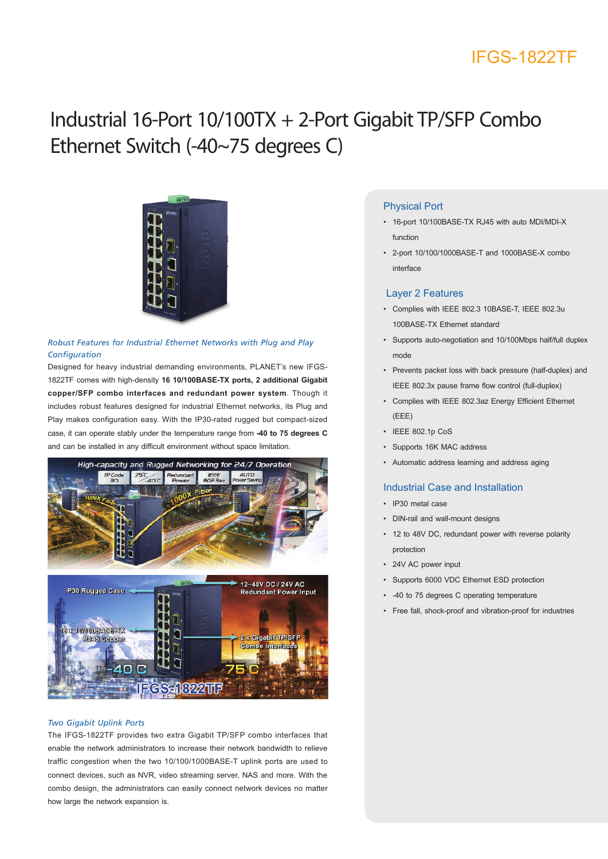### IFGS-1822TF

# Industrial 16-Port 10/100TX + 2-Port Gigabit TP/SFP Combo Ethernet Switch (-40~75 degrees C)



### *Robust Features for Industrial Ethernet Networks with Plug and Play Configuration*

Designed for heavy industrial demanding environments, PLANET's new IFGS-1822TF comes with high-density **16 10/100BASE-TX ports, 2 additional Gigabit copper/SFP combo interfaces and redundant power system**. Though it includes robust features designed for industrial Ethernet networks, its Plug and Play makes configuration easy. With the IP30-rated rugged but compact-sized case, it can operate stably under the temperature range from **-40 to 75 degrees C**  and can be installed in any difficult environment without space limitation.



#### *Two Gigabit Uplink Ports*

The IFGS-1822TF provides two extra Gigabit TP/SFP combo interfaces that enable the network administrators to increase their network bandwidth to relieve traffic congestion when the two 10/100/1000BASE-T uplink ports are used to connect devices, such as NVR, video streaming server, NAS and more. With the combo design, the administrators can easily connect network devices no matter how large the network expansion is.

### Physical Port

- 16-port 10/100BASE-TX RJ45 with auto MDI/MDI-X function
- 2-port 10/100/1000BASE-T and 1000BASE-X combo interface

#### Layer 2 Features

- Complies with IEEE 802.3 10BASE-T, IEEE 802.3u 100BASE-TX Ethernet standard
- Supports auto-negotiation and 10/100Mbps half/full duplex mode
- Prevents packet loss with back pressure (half-duplex) and IEEE 802.3x pause frame flow control (full-duplex)
- Complies with IEEE 802.3az Energy Efficient Ethernet (EEE)
- IEEE 802.1p CoS
- Supports 16K MAC address
- Automatic address learning and address aging

### Industrial Case and Installation

- IP30 metal case
- DIN-rail and wall-mount designs
- 12 to 48V DC, redundant power with reverse polarity protection
- 24V AC power input
- Supports 6000 VDC Ethernet ESD protection
- -40 to 75 degrees C operating temperature
- Free fall, shock-proof and vibration-proof for industries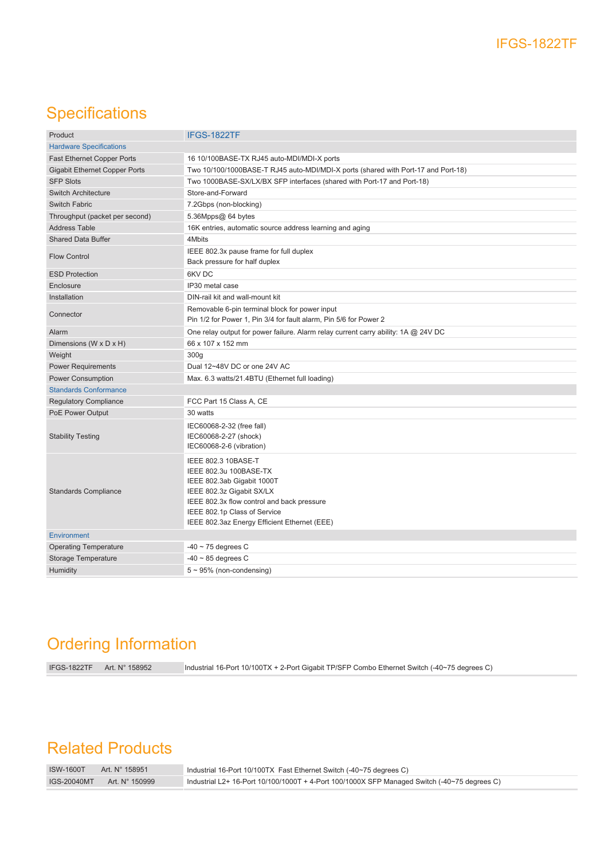# **Specifications**

| Product                              | IFGS-1822TF                                                                                                                                                                                                                            |
|--------------------------------------|----------------------------------------------------------------------------------------------------------------------------------------------------------------------------------------------------------------------------------------|
| <b>Hardware Specifications</b>       |                                                                                                                                                                                                                                        |
| <b>Fast Ethernet Copper Ports</b>    | 16 10/100BASE-TX RJ45 auto-MDI/MDI-X ports                                                                                                                                                                                             |
| <b>Gigabit Ethernet Copper Ports</b> | Two 10/100/1000BASE-T RJ45 auto-MDI/MDI-X ports (shared with Port-17 and Port-18)                                                                                                                                                      |
| <b>SFP Slots</b>                     | Two 1000BASE-SX/LX/BX SFP interfaces (shared with Port-17 and Port-18)                                                                                                                                                                 |
| <b>Switch Architecture</b>           | Store-and-Forward                                                                                                                                                                                                                      |
| Switch Fabric                        | 7.2Gbps (non-blocking)                                                                                                                                                                                                                 |
| Throughput (packet per second)       | 5.36Mpps@ 64 bytes                                                                                                                                                                                                                     |
| <b>Address Table</b>                 | 16K entries, automatic source address learning and aging                                                                                                                                                                               |
| <b>Shared Data Buffer</b>            | 4Mbits                                                                                                                                                                                                                                 |
| <b>Flow Control</b>                  | IEEE 802.3x pause frame for full duplex<br>Back pressure for half duplex                                                                                                                                                               |
| <b>ESD Protection</b>                | 6KV DC                                                                                                                                                                                                                                 |
| Enclosure                            | IP30 metal case                                                                                                                                                                                                                        |
| Installation                         | DIN-rail kit and wall-mount kit                                                                                                                                                                                                        |
| Connector                            | Removable 6-pin terminal block for power input<br>Pin 1/2 for Power 1, Pin 3/4 for fault alarm, Pin 5/6 for Power 2                                                                                                                    |
| Alarm                                | One relay output for power failure. Alarm relay current carry ability: 1A @ 24V DC                                                                                                                                                     |
| Dimensions (W x D x H)               | 66 x 107 x 152 mm                                                                                                                                                                                                                      |
| Weight                               | 300g                                                                                                                                                                                                                                   |
| <b>Power Requirements</b>            | Dual 12~48V DC or one 24V AC                                                                                                                                                                                                           |
| <b>Power Consumption</b>             | Max. 6.3 watts/21.4BTU (Ethernet full loading)                                                                                                                                                                                         |
| <b>Standards Conformance</b>         |                                                                                                                                                                                                                                        |
| <b>Regulatory Compliance</b>         | FCC Part 15 Class A, CE                                                                                                                                                                                                                |
| PoE Power Output                     | 30 watts                                                                                                                                                                                                                               |
| <b>Stability Testing</b>             | IEC60068-2-32 (free fall)<br>IEC60068-2-27 (shock)<br>IEC60068-2-6 (vibration)                                                                                                                                                         |
| <b>Standards Compliance</b>          | IEEE 802.3 10BASE-T<br>IEEE 802.3u 100BASE-TX<br>IEEE 802.3ab Gigabit 1000T<br>IEEE 802.3z Gigabit SX/LX<br>IEEE 802.3x flow control and back pressure<br>IEEE 802.1p Class of Service<br>IEEE 802.3az Energy Efficient Ethernet (EEE) |
| Environment                          |                                                                                                                                                                                                                                        |
| <b>Operating Temperature</b>         | $-40 \sim 75$ degrees C                                                                                                                                                                                                                |
| Storage Temperature                  | $-40 \sim 85$ degrees C                                                                                                                                                                                                                |
| Humidity                             | $5 \sim 95\%$ (non-condensing)                                                                                                                                                                                                         |

## Ordering Information

IFGS-1822TF Art. N° 158952 Industrial 16-Port 10/100TX + 2-Port Gigabit TP/SFP Combo Ethernet Switch (-40~75 degrees C)

## Related Products

| <b>ISW-1600T</b> | Art. N° 158951 | △ Industrial 16-Port 10/100TX Fast Ethernet Switch (-40~75 degrees C)                        |
|------------------|----------------|----------------------------------------------------------------------------------------------|
| IGS-20040MT      | Art. N° 150999 | Industrial L2+ 16-Port 10/100/1000T + 4-Port 100/1000X SFP Managed Switch (-40~75 degrees C) |